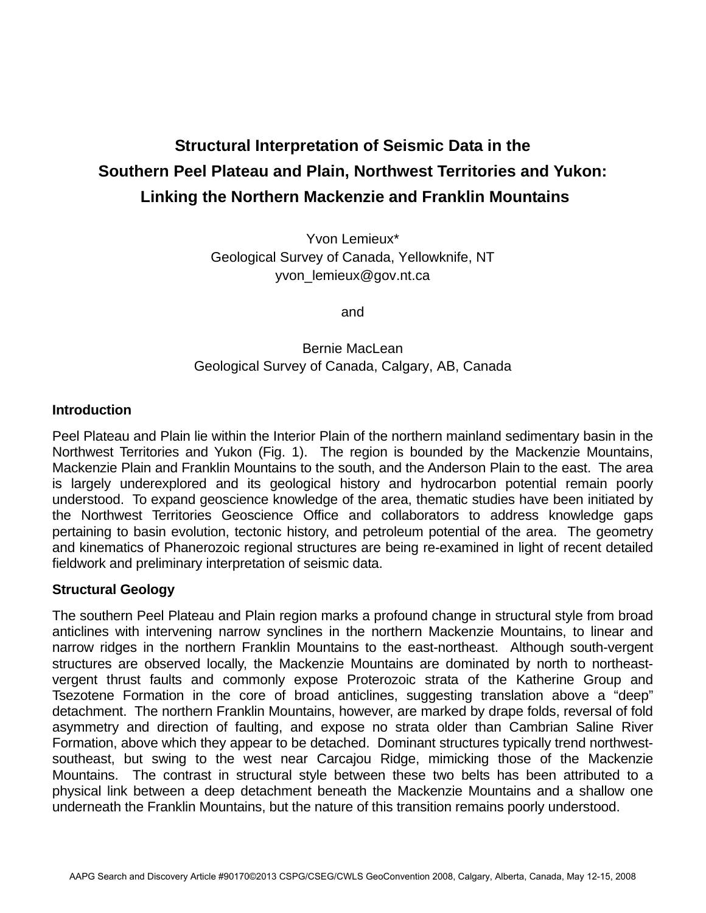# **Structural Interpretation of Seismic Data in the Southern Peel Plateau and Plain, Northwest Territories and Yukon: Linking the Northern Mackenzie and Franklin Mountains**

Yvon Lemieux\* Geological Survey of Canada, Yellowknife, NT yvon\_lemieux@gov.nt.ca

and

## Bernie MacLean Geological Survey of Canada, Calgary, AB, Canada

#### **Introduction**

Peel Plateau and Plain lie within the Interior Plain of the northern mainland sedimentary basin in the Northwest Territories and Yukon (Fig. 1). The region is bounded by the Mackenzie Mountains, Mackenzie Plain and Franklin Mountains to the south, and the Anderson Plain to the east. The area is largely underexplored and its geological history and hydrocarbon potential remain poorly understood. To expand geoscience knowledge of the area, thematic studies have been initiated by the Northwest Territories Geoscience Office and collaborators to address knowledge gaps pertaining to basin evolution, tectonic history, and petroleum potential of the area. The geometry and kinematics of Phanerozoic regional structures are being re-examined in light of recent detailed fieldwork and preliminary interpretation of seismic data.

### **Structural Geology**

The southern Peel Plateau and Plain region marks a profound change in structural style from broad anticlines with intervening narrow synclines in the northern Mackenzie Mountains, to linear and narrow ridges in the northern Franklin Mountains to the east-northeast. Although south-vergent structures are observed locally, the Mackenzie Mountains are dominated by north to northeastvergent thrust faults and commonly expose Proterozoic strata of the Katherine Group and Tsezotene Formation in the core of broad anticlines, suggesting translation above a "deep" detachment. The northern Franklin Mountains, however, are marked by drape folds, reversal of fold asymmetry and direction of faulting, and expose no strata older than Cambrian Saline River Formation, above which they appear to be detached. Dominant structures typically trend northwestsoutheast, but swing to the west near Carcajou Ridge, mimicking those of the Mackenzie Mountains. The contrast in structural style between these two belts has been attributed to a physical link between a deep detachment beneath the Mackenzie Mountains and a shallow one underneath the Franklin Mountains, but the nature of this transition remains poorly understood.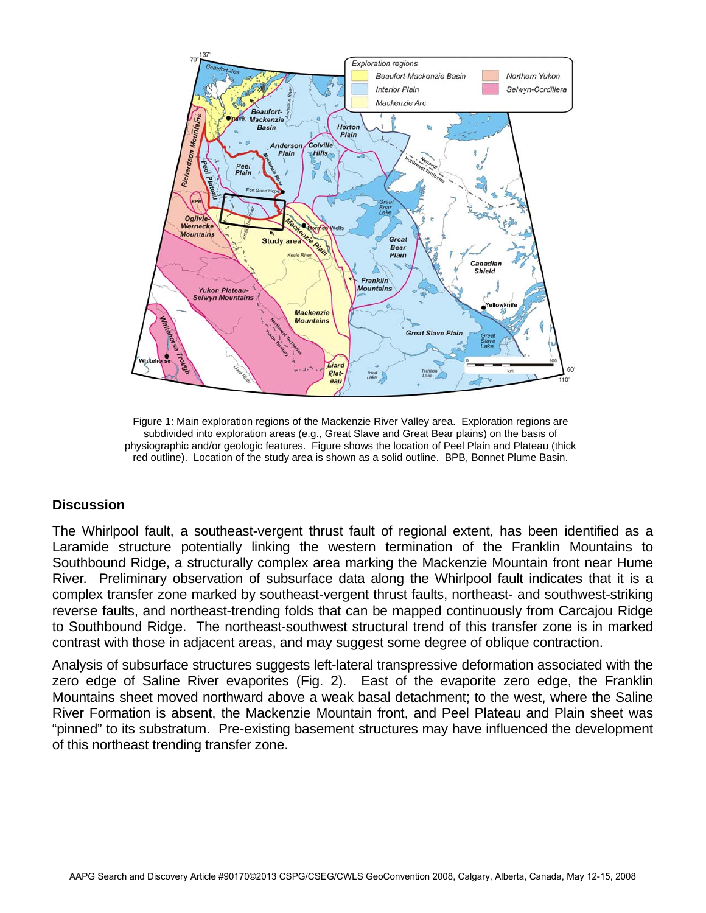

Figure 1: Main exploration regions of the Mackenzie River Valley area. Exploration regions are subdivided into exploration areas (e.g., Great Slave and Great Bear plains) on the basis of physiographic and/or geologic features. Figure shows the location of Peel Plain and Plateau (thick red outline). Location of the study area is shown as a solid outline. BPB, Bonnet Plume Basin.

#### **Discussion**

The Whirlpool fault, a southeast-vergent thrust fault of regional extent, has been identified as a Laramide structure potentially linking the western termination of the Franklin Mountains to Southbound Ridge, a structurally complex area marking the Mackenzie Mountain front near Hume River. Preliminary observation of subsurface data along the Whirlpool fault indicates that it is a complex transfer zone marked by southeast-vergent thrust faults, northeast- and southwest-striking reverse faults, and northeast-trending folds that can be mapped continuously from Carcajou Ridge to Southbound Ridge. The northeast-southwest structural trend of this transfer zone is in marked contrast with those in adjacent areas, and may suggest some degree of oblique contraction.

Analysis of subsurface structures suggests left-lateral transpressive deformation associated with the zero edge of Saline River evaporites (Fig. 2). East of the evaporite zero edge, the Franklin Mountains sheet moved northward above a weak basal detachment; to the west, where the Saline River Formation is absent, the Mackenzie Mountain front, and Peel Plateau and Plain sheet was "pinned" to its substratum. Pre-existing basement structures may have influenced the development of this northeast trending transfer zone.